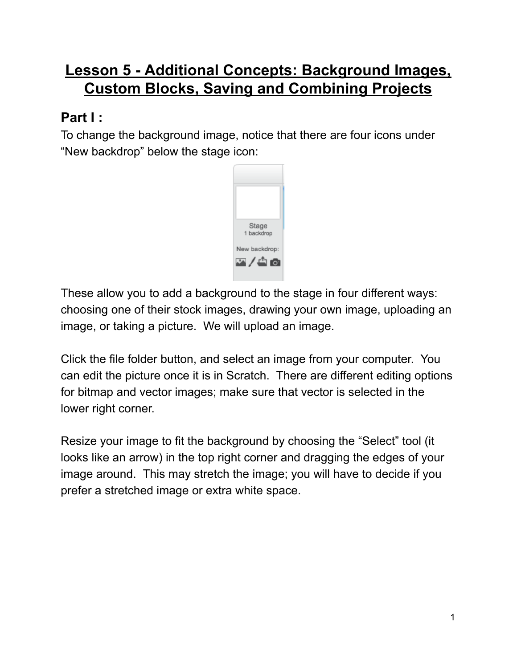# **Lesson 5 - Additional Concepts: Background Images, Custom Blocks, Saving and Combining Projects**

## **Part I :**

To change the background image, notice that there are four icons under "New backdrop" below the stage icon:



These allow you to add a background to the stage in four different ways: choosing one of their stock images, drawing your own image, uploading an image, or taking a picture. We will upload an image.

Click the file folder button, and select an image from your computer. You can edit the picture once it is in Scratch. There are different editing options for bitmap and vector images; make sure that vector is selected in the lower right corner.

Resize your image to fit the background by choosing the "Select" tool (it looks like an arrow) in the top right corner and dragging the edges of your image around. This may stretch the image; you will have to decide if you prefer a stretched image or extra white space.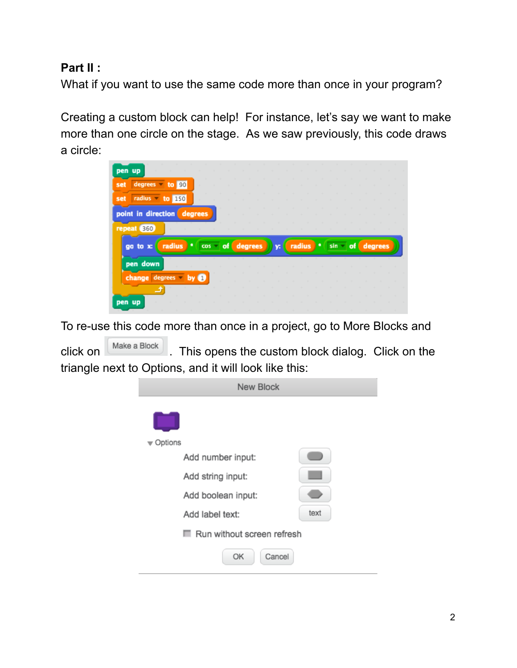### **Part II :**

What if you want to use the same code more than once in your program?

Creating a custom block can help! For instance, let's say we want to make more than one circle on the stage. As we saw previously, this code draws a circle:



To re-use this code more than once in a project, go to More Blocks and

click on **Make a Block** . This opens the custom block dialog. Click on the triangle next to Options, and it will look like this:

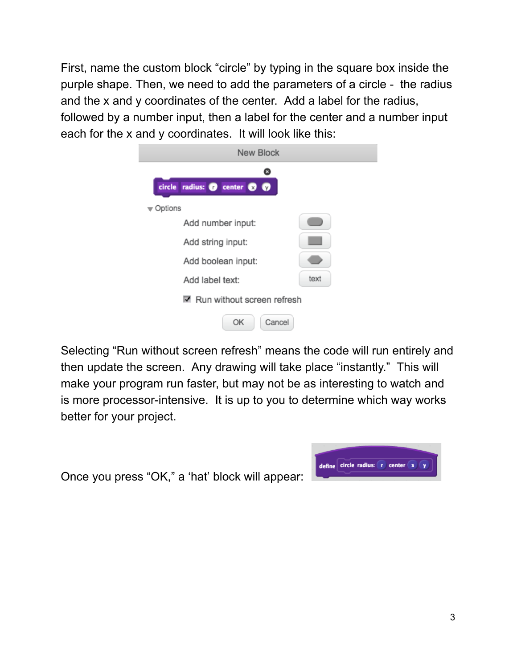First, name the custom block "circle" by typing in the square box inside the purple shape. Then, we need to add the parameters of a circle - the radius and the x and y coordinates of the center. Add a label for the radius, followed by a number input, then a label for the center and a number input each for the x and y coordinates. It will look like this:

| New Block                           |      |  |  |  |  |  |  |
|-------------------------------------|------|--|--|--|--|--|--|
| ◎                                   |      |  |  |  |  |  |  |
| circle radius: @ center @ @         |      |  |  |  |  |  |  |
| Options                             |      |  |  |  |  |  |  |
| Add number input:                   |      |  |  |  |  |  |  |
| Add string input:                   |      |  |  |  |  |  |  |
| Add boolean input:                  |      |  |  |  |  |  |  |
| Add label text:                     | text |  |  |  |  |  |  |
| $\nabla$ Run without screen refresh |      |  |  |  |  |  |  |
| OK<br>Cancel                        |      |  |  |  |  |  |  |

Selecting "Run without screen refresh" means the code will run entirely and then update the screen. Any drawing will take place "instantly." This will make your program run faster, but may not be as interesting to watch and is more processor-intensive. It is up to you to determine which way works better for your project.

Once you press "OK," a 'hat' block will appear:

| define circle radius: r center x |
|----------------------------------|
|                                  |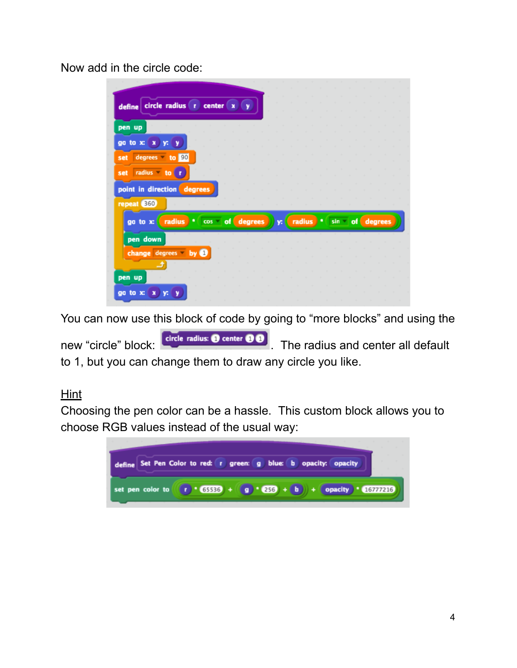Now add in the circle code:

| define circle radius r center x |                |  |          |               |    |  |  |                |  |
|---------------------------------|----------------|--|----------|---------------|----|--|--|----------------|--|
| pen up                          |                |  |          |               |    |  |  |                |  |
| go to x:<br>X                   |                |  |          |               |    |  |  |                |  |
| degrees and<br>to 90<br>set     |                |  |          |               |    |  |  |                |  |
| radius to<br>set                |                |  |          |               |    |  |  |                |  |
| point in direction degrees      |                |  |          |               |    |  |  |                |  |
| repeat 360                      |                |  |          |               |    |  |  |                |  |
| radius<br>٠<br>go to x:         | cos of degrees |  | <b>y</b> | <b>radius</b> | ٠. |  |  | sin of degrees |  |
| pen down                        |                |  |          |               |    |  |  |                |  |
| change degrees by @             |                |  |          |               |    |  |  |                |  |
|                                 |                |  |          |               |    |  |  |                |  |
| pen up                          |                |  |          |               |    |  |  |                |  |

You can now use this block of code by going to "more blocks" and using the

new "circle" block: circle radius:  $\bullet$  center  $\bullet \bullet$  . The radius and center all default to 1, but you can change them to draw any circle you like.

#### **Hint**

Choosing the pen color can be a hassle. This custom block allows you to choose RGB values instead of the usual way:

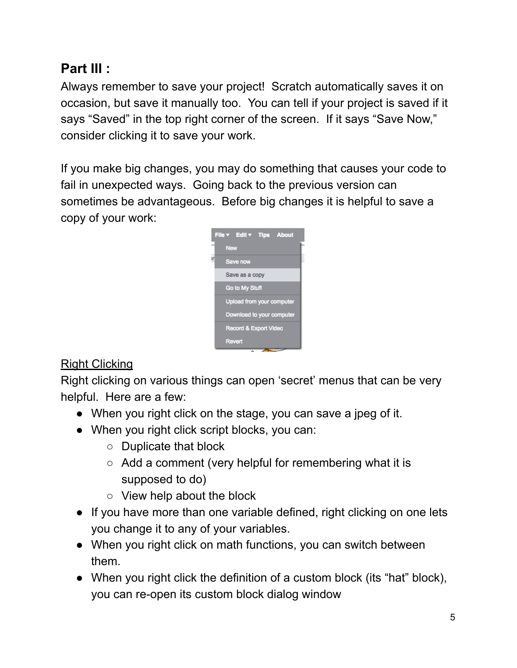## **Part III :**

Always remember to save your project! Scratch automatically saves it on occasion, but save it manually too. You can tell if your project is saved if it says "Saved" in the top right corner of the screen. If it says "Save Now," consider clicking it to save your work.

If you make big changes, you may do something that causes your code to fail in unexpected ways. Going back to the previous version can sometimes be advantageous. Before big changes it is helpful to save a copy of your work:



### Right Clicking

Right clicking on various things can open 'secret' menus that can be very helpful. Here are a few:

- When you right click on the stage, you can save a jpeg of it.
- When you right click script blocks, you can:
	- Duplicate that block
	- Add a comment (very helpful for remembering what it is supposed to do)
	- View help about the block
- If you have more than one variable defined, right clicking on one lets you change it to any of your variables.
- When you right click on math functions, you can switch between them.
- When you right click the definition of a custom block (its "hat" block), you can re-open its custom block dialog window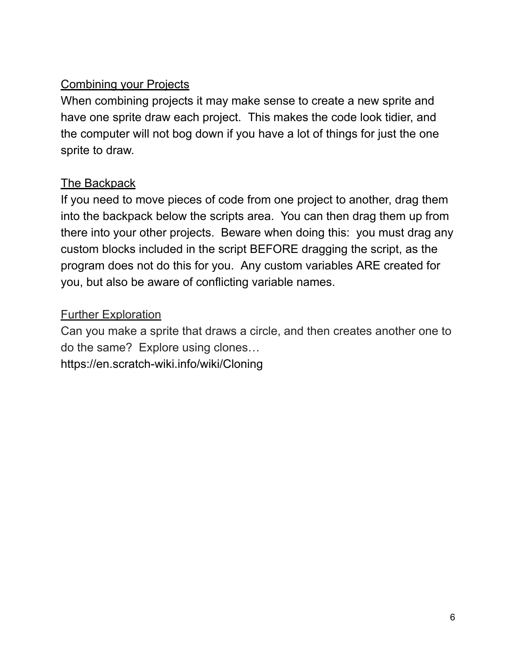### Combining your Projects

When combining projects it may make sense to create a new sprite and have one sprite draw each project. This makes the code look tidier, and the computer will not bog down if you have a lot of things for just the one sprite to draw.

#### The Backpack

If you need to move pieces of code from one project to another, drag them into the backpack below the scripts area. You can then drag them up from there into your other projects. Beware when doing this: you must drag any custom blocks included in the script BEFORE dragging the script, as the program does not do this for you. Any custom variables ARE created for you, but also be aware of conflicting variable names.

#### **Further Exploration**

Can you make a sprite that draws a circle, and then creates another one to do the same? Explore using clones…

https://en.scratch-wiki.info/wiki/Cloning